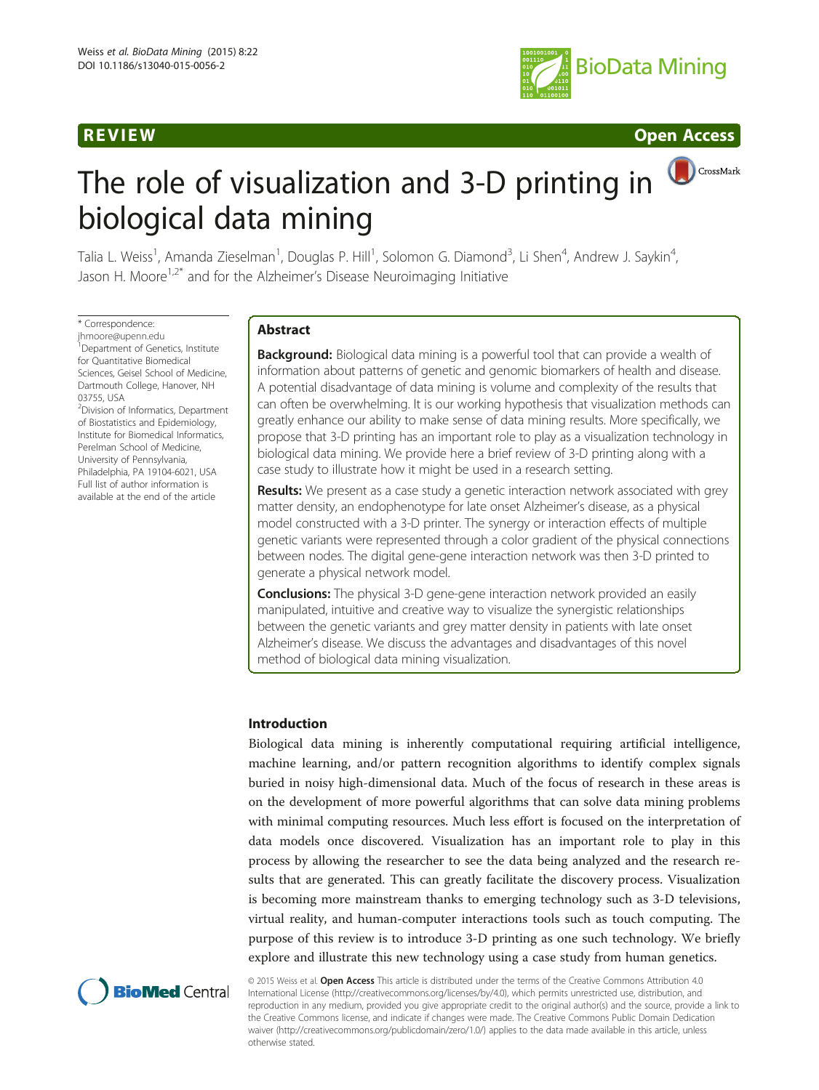

**REVIEW CONSIDERING CONSIDERING CONSIDERING CONSIDERING CONSIDERING CONSIDERING CONSIDERING CONSIDERING CONSIDERING CONSIDERING CONSIDERING CONSIDERING CONSIDERING CONSIDERING CONSIDERING CONSIDERING CONSIDERING CONSIDER** 

CrossMark

# The role of visualization and 3-D printing in biological data mining

Talia L. Weiss<sup>1</sup>, Amanda Zieselman<sup>1</sup>, Douglas P. Hill<sup>1</sup>, Solomon G. Diamond<sup>3</sup>, Li Shen<sup>4</sup>, Andrew J. Saykin<sup>4</sup> , Jason H. Moore<sup>1,2\*</sup> and for the Alzheimer's Disease Neuroimaging Initiative

# \* Correspondence:

[jhmoore@upenn.edu](mailto:jhmoore@upenn.edu) <sup>1</sup>Department of Genetics, Institute for Quantitative Biomedical Sciences, Geisel School of Medicine, Dartmouth College, Hanover, NH 03755, USA

2 Division of Informatics, Department of Biostatistics and Epidemiology, Institute for Biomedical Informatics, Perelman School of Medicine, University of Pennsylvania, Philadelphia, PA 19104-6021, USA Full list of author information is available at the end of the article

# Abstract

**Background:** Biological data mining is a powerful tool that can provide a wealth of information about patterns of genetic and genomic biomarkers of health and disease. A potential disadvantage of data mining is volume and complexity of the results that can often be overwhelming. It is our working hypothesis that visualization methods can greatly enhance our ability to make sense of data mining results. More specifically, we propose that 3-D printing has an important role to play as a visualization technology in biological data mining. We provide here a brief review of 3-D printing along with a case study to illustrate how it might be used in a research setting.

**Results:** We present as a case study a genetic interaction network associated with grey matter density, an endophenotype for late onset Alzheimer's disease, as a physical model constructed with a 3-D printer. The synergy or interaction effects of multiple genetic variants were represented through a color gradient of the physical connections between nodes. The digital gene-gene interaction network was then 3-D printed to generate a physical network model.

**Conclusions:** The physical 3-D gene-gene interaction network provided an easily manipulated, intuitive and creative way to visualize the synergistic relationships between the genetic variants and grey matter density in patients with late onset Alzheimer's disease. We discuss the advantages and disadvantages of this novel method of biological data mining visualization.

# Introduction

Biological data mining is inherently computational requiring artificial intelligence, machine learning, and/or pattern recognition algorithms to identify complex signals buried in noisy high-dimensional data. Much of the focus of research in these areas is on the development of more powerful algorithms that can solve data mining problems with minimal computing resources. Much less effort is focused on the interpretation of data models once discovered. Visualization has an important role to play in this process by allowing the researcher to see the data being analyzed and the research results that are generated. This can greatly facilitate the discovery process. Visualization is becoming more mainstream thanks to emerging technology such as 3-D televisions, virtual reality, and human-computer interactions tools such as touch computing. The purpose of this review is to introduce 3-D printing as one such technology. We briefly explore and illustrate this new technology using a case study from human genetics.



© 2015 Weiss et al. Open Access This article is distributed under the terms of the Creative Commons Attribution 4.0 International License [\(http://creativecommons.org/licenses/by/4.0](http://creativecommons.org/licenses/by/4.0)), which permits unrestricted use, distribution, and reproduction in any medium, provided you give appropriate credit to the original author(s) and the source, provide a link to the Creative Commons license, and indicate if changes were made. The Creative Commons Public Domain Dedication waiver ([http://creativecommons.org/publicdomain/zero/1.0/\)](http://creativecommons.org/publicdomain/zero/1.0/) applies to the data made available in this article, unless otherwise stated.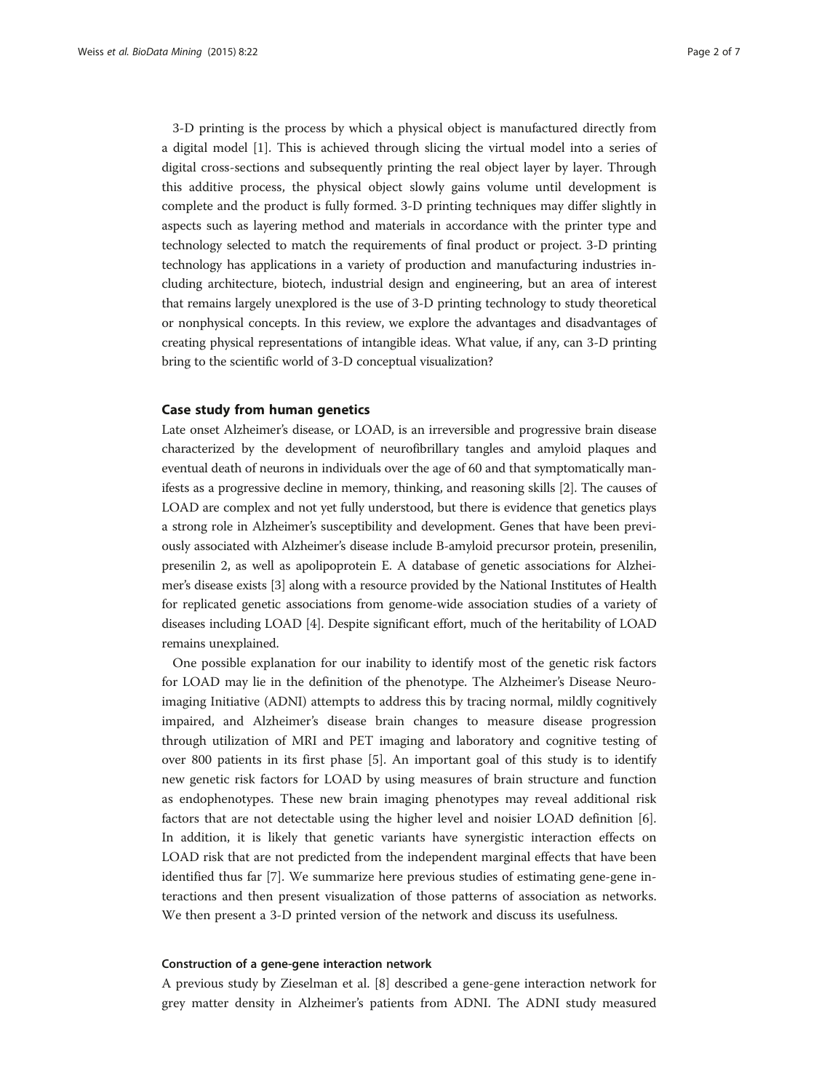3-D printing is the process by which a physical object is manufactured directly from a digital model [\[1](#page-6-0)]. This is achieved through slicing the virtual model into a series of digital cross-sections and subsequently printing the real object layer by layer. Through this additive process, the physical object slowly gains volume until development is complete and the product is fully formed. 3-D printing techniques may differ slightly in aspects such as layering method and materials in accordance with the printer type and technology selected to match the requirements of final product or project. 3-D printing technology has applications in a variety of production and manufacturing industries including architecture, biotech, industrial design and engineering, but an area of interest that remains largely unexplored is the use of 3-D printing technology to study theoretical or nonphysical concepts. In this review, we explore the advantages and disadvantages of creating physical representations of intangible ideas. What value, if any, can 3-D printing bring to the scientific world of 3-D conceptual visualization?

## Case study from human genetics

Late onset Alzheimer's disease, or LOAD, is an irreversible and progressive brain disease characterized by the development of neurofibrillary tangles and amyloid plaques and eventual death of neurons in individuals over the age of 60 and that symptomatically manifests as a progressive decline in memory, thinking, and reasoning skills [[2\]](#page-6-0). The causes of LOAD are complex and not yet fully understood, but there is evidence that genetics plays a strong role in Alzheimer's susceptibility and development. Genes that have been previously associated with Alzheimer's disease include B-amyloid precursor protein, presenilin, presenilin 2, as well as apolipoprotein E. A database of genetic associations for Alzheimer's disease exists [[3\]](#page-6-0) along with a resource provided by the National Institutes of Health for replicated genetic associations from genome-wide association studies of a variety of diseases including LOAD [[4](#page-6-0)]. Despite significant effort, much of the heritability of LOAD remains unexplained.

One possible explanation for our inability to identify most of the genetic risk factors for LOAD may lie in the definition of the phenotype. The Alzheimer's Disease Neuroimaging Initiative (ADNI) attempts to address this by tracing normal, mildly cognitively impaired, and Alzheimer's disease brain changes to measure disease progression through utilization of MRI and PET imaging and laboratory and cognitive testing of over 800 patients in its first phase [[5\]](#page-6-0). An important goal of this study is to identify new genetic risk factors for LOAD by using measures of brain structure and function as endophenotypes. These new brain imaging phenotypes may reveal additional risk factors that are not detectable using the higher level and noisier LOAD definition [\[6](#page-6-0)]. In addition, it is likely that genetic variants have synergistic interaction effects on LOAD risk that are not predicted from the independent marginal effects that have been identified thus far [[7\]](#page-6-0). We summarize here previous studies of estimating gene-gene interactions and then present visualization of those patterns of association as networks. We then present a 3-D printed version of the network and discuss its usefulness.

# Construction of a gene-gene interaction network

A previous study by Zieselman et al. [[8](#page-6-0)] described a gene-gene interaction network for grey matter density in Alzheimer's patients from ADNI. The ADNI study measured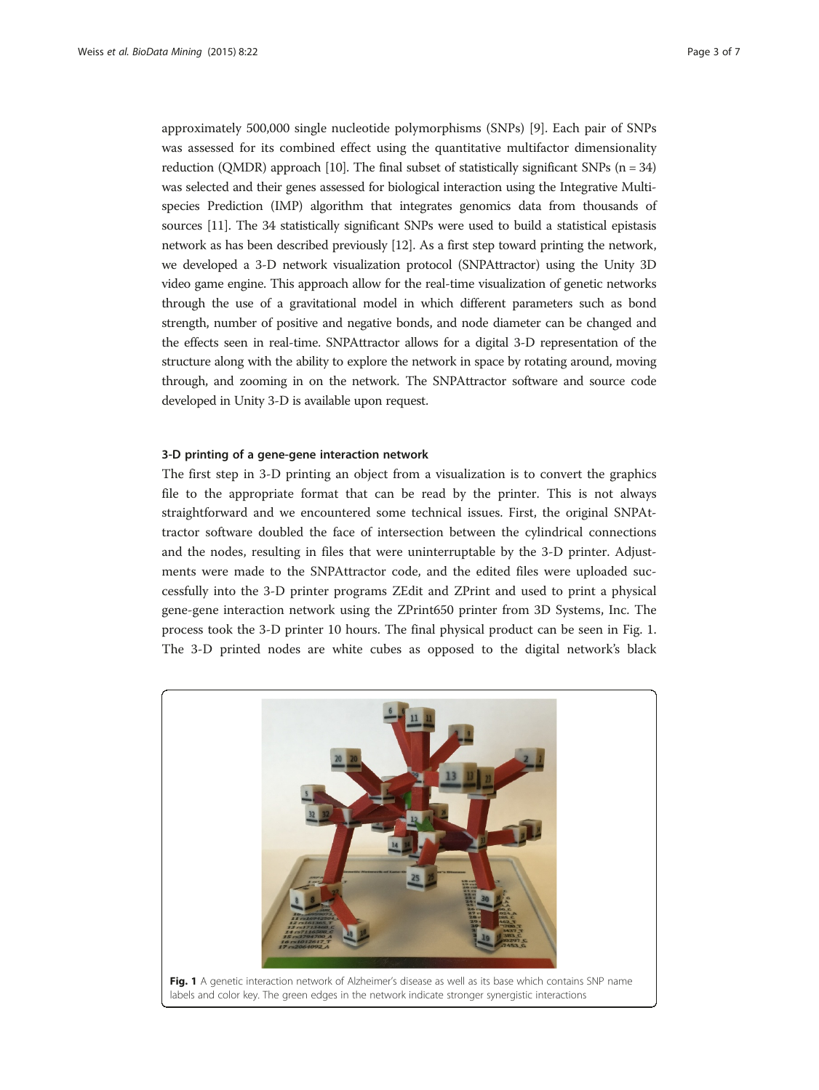approximately 500,000 single nucleotide polymorphisms (SNPs) [\[9](#page-6-0)]. Each pair of SNPs was assessed for its combined effect using the quantitative multifactor dimensionality reduction (QMDR) approach [\[10\]](#page-6-0). The final subset of statistically significant SNPs (n = 34) was selected and their genes assessed for biological interaction using the Integrative Multispecies Prediction (IMP) algorithm that integrates genomics data from thousands of sources [[11](#page-6-0)]. The 34 statistically significant SNPs were used to build a statistical epistasis network as has been described previously [[12](#page-6-0)]. As a first step toward printing the network, we developed a 3-D network visualization protocol (SNPAttractor) using the Unity 3D video game engine. This approach allow for the real-time visualization of genetic networks through the use of a gravitational model in which different parameters such as bond strength, number of positive and negative bonds, and node diameter can be changed and the effects seen in real-time. SNPAttractor allows for a digital 3-D representation of the structure along with the ability to explore the network in space by rotating around, moving through, and zooming in on the network. The SNPAttractor software and source code developed in Unity 3-D is available upon request.

# 3-D printing of a gene-gene interaction network

The first step in 3-D printing an object from a visualization is to convert the graphics file to the appropriate format that can be read by the printer. This is not always straightforward and we encountered some technical issues. First, the original SNPAttractor software doubled the face of intersection between the cylindrical connections and the nodes, resulting in files that were uninterruptable by the 3-D printer. Adjustments were made to the SNPAttractor code, and the edited files were uploaded successfully into the 3-D printer programs ZEdit and ZPrint and used to print a physical gene-gene interaction network using the ZPrint650 printer from 3D Systems, Inc. The process took the 3-D printer 10 hours. The final physical product can be seen in Fig. 1. The 3-D printed nodes are white cubes as opposed to the digital network's black

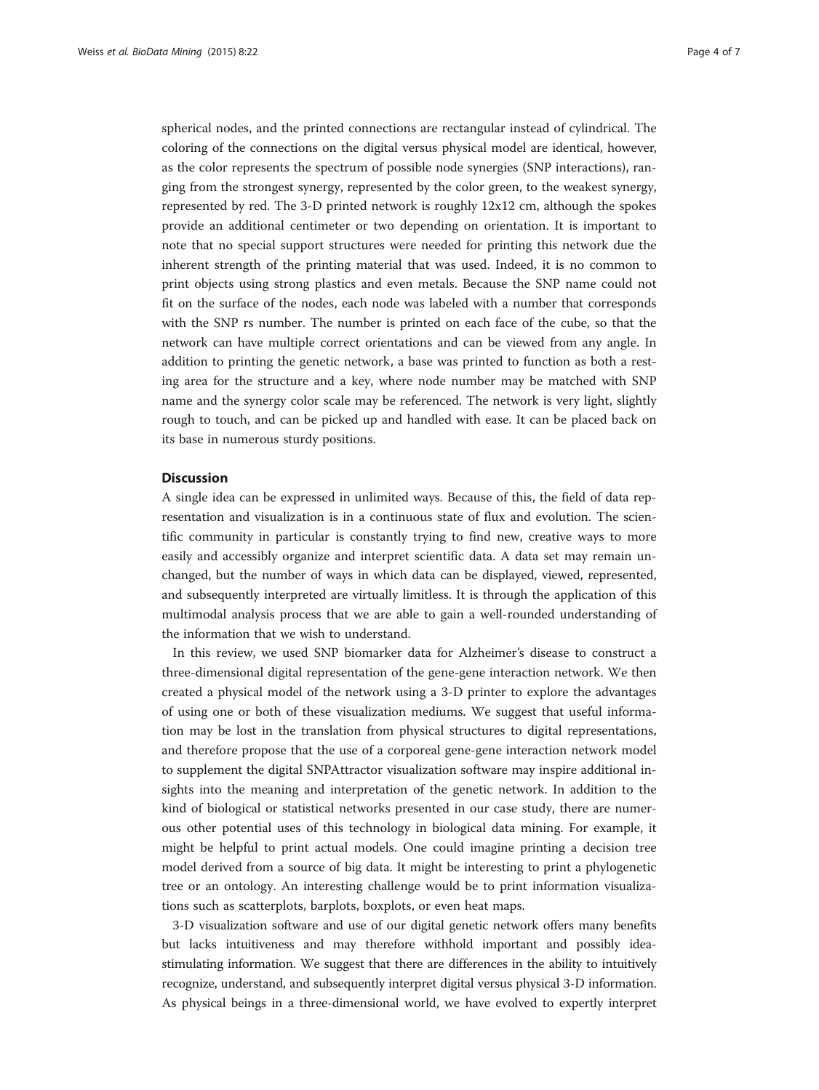spherical nodes, and the printed connections are rectangular instead of cylindrical. The coloring of the connections on the digital versus physical model are identical, however, as the color represents the spectrum of possible node synergies (SNP interactions), ranging from the strongest synergy, represented by the color green, to the weakest synergy, represented by red. The 3-D printed network is roughly 12x12 cm, although the spokes provide an additional centimeter or two depending on orientation. It is important to note that no special support structures were needed for printing this network due the inherent strength of the printing material that was used. Indeed, it is no common to print objects using strong plastics and even metals. Because the SNP name could not fit on the surface of the nodes, each node was labeled with a number that corresponds with the SNP rs number. The number is printed on each face of the cube, so that the network can have multiple correct orientations and can be viewed from any angle. In addition to printing the genetic network, a base was printed to function as both a resting area for the structure and a key, where node number may be matched with SNP name and the synergy color scale may be referenced. The network is very light, slightly rough to touch, and can be picked up and handled with ease. It can be placed back on its base in numerous sturdy positions.

## **Discussion**

A single idea can be expressed in unlimited ways. Because of this, the field of data representation and visualization is in a continuous state of flux and evolution. The scientific community in particular is constantly trying to find new, creative ways to more easily and accessibly organize and interpret scientific data. A data set may remain unchanged, but the number of ways in which data can be displayed, viewed, represented, and subsequently interpreted are virtually limitless. It is through the application of this multimodal analysis process that we are able to gain a well-rounded understanding of the information that we wish to understand.

In this review, we used SNP biomarker data for Alzheimer's disease to construct a three-dimensional digital representation of the gene-gene interaction network. We then created a physical model of the network using a 3-D printer to explore the advantages of using one or both of these visualization mediums. We suggest that useful information may be lost in the translation from physical structures to digital representations, and therefore propose that the use of a corporeal gene-gene interaction network model to supplement the digital SNPAttractor visualization software may inspire additional insights into the meaning and interpretation of the genetic network. In addition to the kind of biological or statistical networks presented in our case study, there are numerous other potential uses of this technology in biological data mining. For example, it might be helpful to print actual models. One could imagine printing a decision tree model derived from a source of big data. It might be interesting to print a phylogenetic tree or an ontology. An interesting challenge would be to print information visualizations such as scatterplots, barplots, boxplots, or even heat maps.

3-D visualization software and use of our digital genetic network offers many benefits but lacks intuitiveness and may therefore withhold important and possibly ideastimulating information. We suggest that there are differences in the ability to intuitively recognize, understand, and subsequently interpret digital versus physical 3-D information. As physical beings in a three-dimensional world, we have evolved to expertly interpret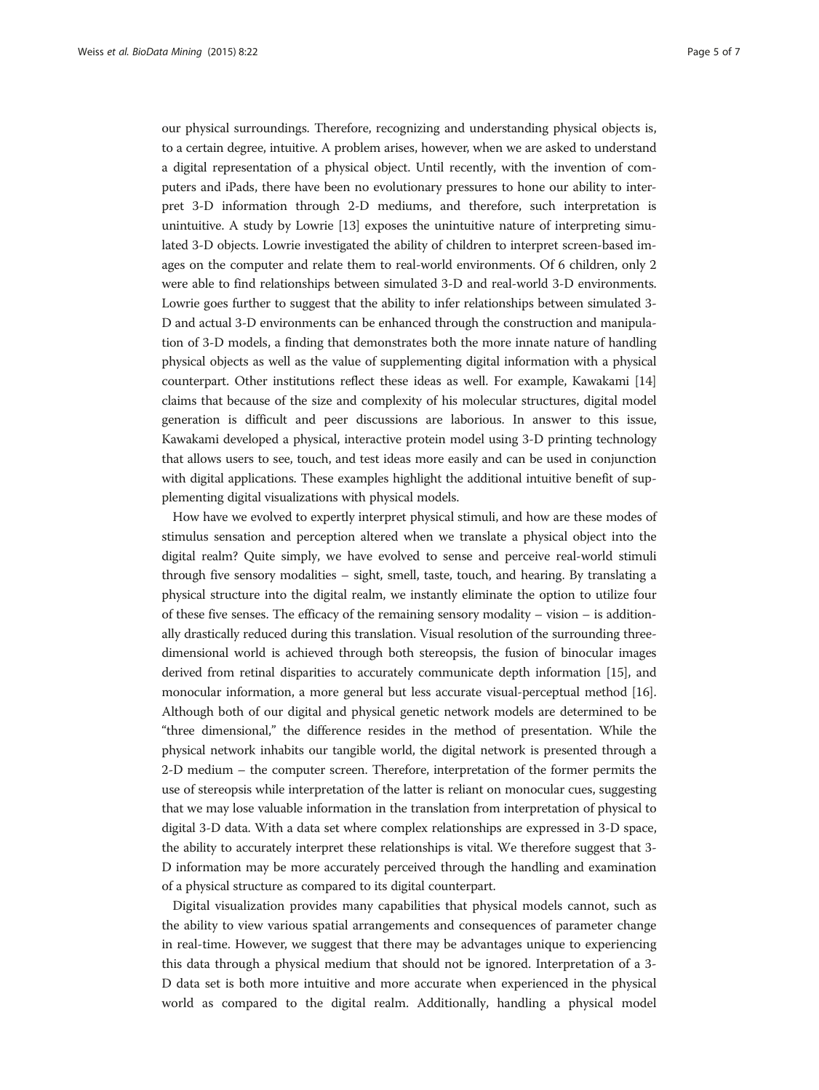our physical surroundings. Therefore, recognizing and understanding physical objects is, to a certain degree, intuitive. A problem arises, however, when we are asked to understand a digital representation of a physical object. Until recently, with the invention of computers and iPads, there have been no evolutionary pressures to hone our ability to interpret 3-D information through 2-D mediums, and therefore, such interpretation is unintuitive. A study by Lowrie [\[13\]](#page-6-0) exposes the unintuitive nature of interpreting simulated 3-D objects. Lowrie investigated the ability of children to interpret screen-based images on the computer and relate them to real-world environments. Of 6 children, only 2 were able to find relationships between simulated 3-D and real-world 3-D environments. Lowrie goes further to suggest that the ability to infer relationships between simulated 3- D and actual 3-D environments can be enhanced through the construction and manipulation of 3-D models, a finding that demonstrates both the more innate nature of handling physical objects as well as the value of supplementing digital information with a physical counterpart. Other institutions reflect these ideas as well. For example, Kawakami [[14](#page-6-0)] claims that because of the size and complexity of his molecular structures, digital model generation is difficult and peer discussions are laborious. In answer to this issue, Kawakami developed a physical, interactive protein model using 3-D printing technology that allows users to see, touch, and test ideas more easily and can be used in conjunction with digital applications. These examples highlight the additional intuitive benefit of supplementing digital visualizations with physical models.

How have we evolved to expertly interpret physical stimuli, and how are these modes of stimulus sensation and perception altered when we translate a physical object into the digital realm? Quite simply, we have evolved to sense and perceive real-world stimuli through five sensory modalities – sight, smell, taste, touch, and hearing. By translating a physical structure into the digital realm, we instantly eliminate the option to utilize four of these five senses. The efficacy of the remaining sensory modality  $-$  vision  $-$  is additionally drastically reduced during this translation. Visual resolution of the surrounding threedimensional world is achieved through both stereopsis, the fusion of binocular images derived from retinal disparities to accurately communicate depth information [\[15\]](#page-6-0), and monocular information, a more general but less accurate visual-perceptual method [[16](#page-6-0)]. Although both of our digital and physical genetic network models are determined to be "three dimensional," the difference resides in the method of presentation. While the physical network inhabits our tangible world, the digital network is presented through a 2-D medium – the computer screen. Therefore, interpretation of the former permits the use of stereopsis while interpretation of the latter is reliant on monocular cues, suggesting that we may lose valuable information in the translation from interpretation of physical to digital 3-D data. With a data set where complex relationships are expressed in 3-D space, the ability to accurately interpret these relationships is vital. We therefore suggest that 3- D information may be more accurately perceived through the handling and examination of a physical structure as compared to its digital counterpart.

Digital visualization provides many capabilities that physical models cannot, such as the ability to view various spatial arrangements and consequences of parameter change in real-time. However, we suggest that there may be advantages unique to experiencing this data through a physical medium that should not be ignored. Interpretation of a 3- D data set is both more intuitive and more accurate when experienced in the physical world as compared to the digital realm. Additionally, handling a physical model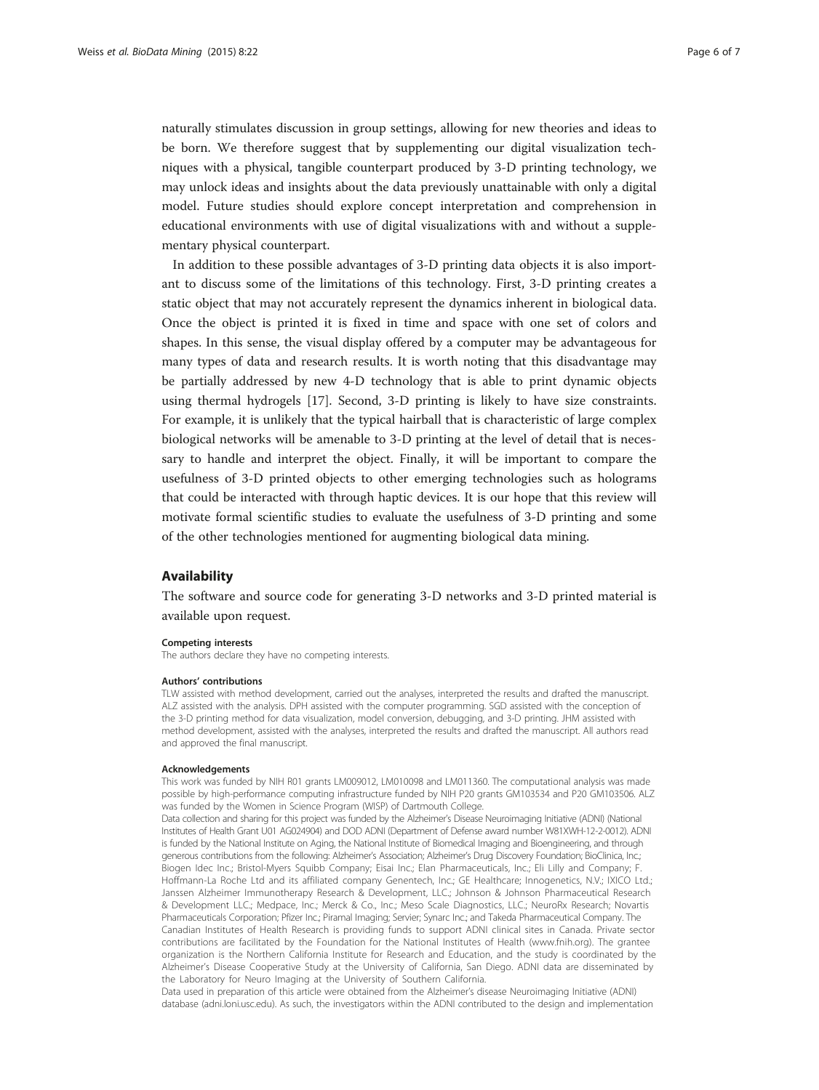naturally stimulates discussion in group settings, allowing for new theories and ideas to be born. We therefore suggest that by supplementing our digital visualization techniques with a physical, tangible counterpart produced by 3-D printing technology, we may unlock ideas and insights about the data previously unattainable with only a digital model. Future studies should explore concept interpretation and comprehension in educational environments with use of digital visualizations with and without a supplementary physical counterpart.

In addition to these possible advantages of 3-D printing data objects it is also important to discuss some of the limitations of this technology. First, 3-D printing creates a static object that may not accurately represent the dynamics inherent in biological data. Once the object is printed it is fixed in time and space with one set of colors and shapes. In this sense, the visual display offered by a computer may be advantageous for many types of data and research results. It is worth noting that this disadvantage may be partially addressed by new 4-D technology that is able to print dynamic objects using thermal hydrogels [\[17](#page-6-0)]. Second, 3-D printing is likely to have size constraints. For example, it is unlikely that the typical hairball that is characteristic of large complex biological networks will be amenable to 3-D printing at the level of detail that is necessary to handle and interpret the object. Finally, it will be important to compare the usefulness of 3-D printed objects to other emerging technologies such as holograms that could be interacted with through haptic devices. It is our hope that this review will motivate formal scientific studies to evaluate the usefulness of 3-D printing and some of the other technologies mentioned for augmenting biological data mining.

### Availability

The software and source code for generating 3-D networks and 3-D printed material is available upon request.

#### Competing interests

The authors declare they have no competing interests.

#### Authors' contributions

TLW assisted with method development, carried out the analyses, interpreted the results and drafted the manuscript. ALZ assisted with the analysis. DPH assisted with the computer programming. SGD assisted with the conception of the 3-D printing method for data visualization, model conversion, debugging, and 3-D printing. JHM assisted with method development, assisted with the analyses, interpreted the results and drafted the manuscript. All authors read and approved the final manuscript.

#### Acknowledgements

This work was funded by NIH R01 grants LM009012, LM010098 and LM011360. The computational analysis was made possible by high-performance computing infrastructure funded by NIH P20 grants GM103534 and P20 GM103506. ALZ was funded by the Women in Science Program (WISP) of Dartmouth College.

Data collection and sharing for this project was funded by the Alzheimer's Disease Neuroimaging Initiative (ADNI) (National Institutes of Health Grant U01 AG024904) and DOD ADNI (Department of Defense award number W81XWH-12-2-0012). ADNI is funded by the National Institute on Aging, the National Institute of Biomedical Imaging and Bioengineering, and through generous contributions from the following: Alzheimer's Association; Alzheimer's Drug Discovery Foundation; BioClinica, Inc.; Biogen Idec Inc.; Bristol-Myers Squibb Company; Eisai Inc.; Elan Pharmaceuticals, Inc.; Eli Lilly and Company; F. Hoffmann-La Roche Ltd and its affiliated company Genentech, Inc.; GE Healthcare; Innogenetics, N.V.; IXICO Ltd.; Janssen Alzheimer Immunotherapy Research & Development, LLC.; Johnson & Johnson Pharmaceutical Research & Development LLC.; Medpace, Inc.; Merck & Co., Inc.; Meso Scale Diagnostics, LLC.; NeuroRx Research; Novartis Pharmaceuticals Corporation; Pfizer Inc.; Piramal Imaging; Servier; Synarc Inc.; and Takeda Pharmaceutical Company. The Canadian Institutes of Health Research is providing funds to support ADNI clinical sites in Canada. Private sector contributions are facilitated by the Foundation for the National Institutes of Health ([www.fnih.org\)](http://www.fnih.org/). The grantee organization is the Northern California Institute for Research and Education, and the study is coordinated by the Alzheimer's Disease Cooperative Study at the University of California, San Diego. ADNI data are disseminated by the Laboratory for Neuro Imaging at the University of Southern California.

Data used in preparation of this article were obtained from the Alzheimer's disease Neuroimaging Initiative (ADNI) database (adni.loni.usc.edu). As such, the investigators within the ADNI contributed to the design and implementation